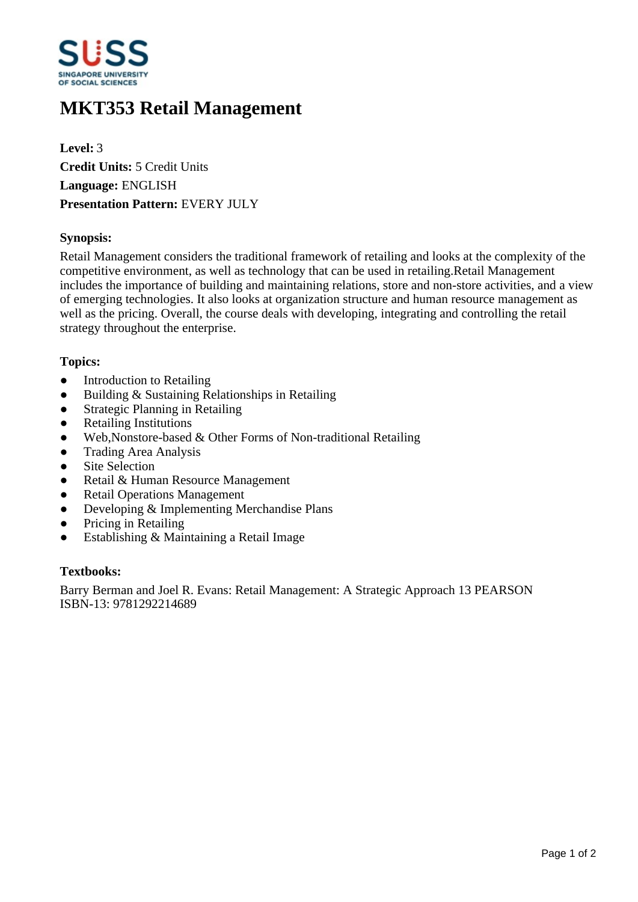

# **MKT353 Retail Management**

**Level:** 3 **Credit Units:** 5 Credit Units **Language:** ENGLISH **Presentation Pattern:** EVERY JULY

## **Synopsis:**

Retail Management considers the traditional framework of retailing and looks at the complexity of the competitive environment, as well as technology that can be used in retailing.Retail Management includes the importance of building and maintaining relations, store and non-store activities, and a view of emerging technologies. It also looks at organization structure and human resource management as well as the pricing. Overall, the course deals with developing, integrating and controlling the retail strategy throughout the enterprise.

## **Topics:**

- Introduction to Retailing
- $\bullet$  Building & Sustaining Relationships in Retailing
- Strategic Planning in Retailing
- Retailing Institutions
- Web, Nonstore-based & Other Forms of Non-traditional Retailing
- Trading Area Analysis
- Site Selection
- Retail & Human Resource Management
- Retail Operations Management
- Developing & Implementing Merchandise Plans
- Pricing in Retailing
- $\bullet$  Establishing & Maintaining a Retail Image

#### **Textbooks:**

Barry Berman and Joel R. Evans: Retail Management: A Strategic Approach 13 PEARSON ISBN-13: 9781292214689